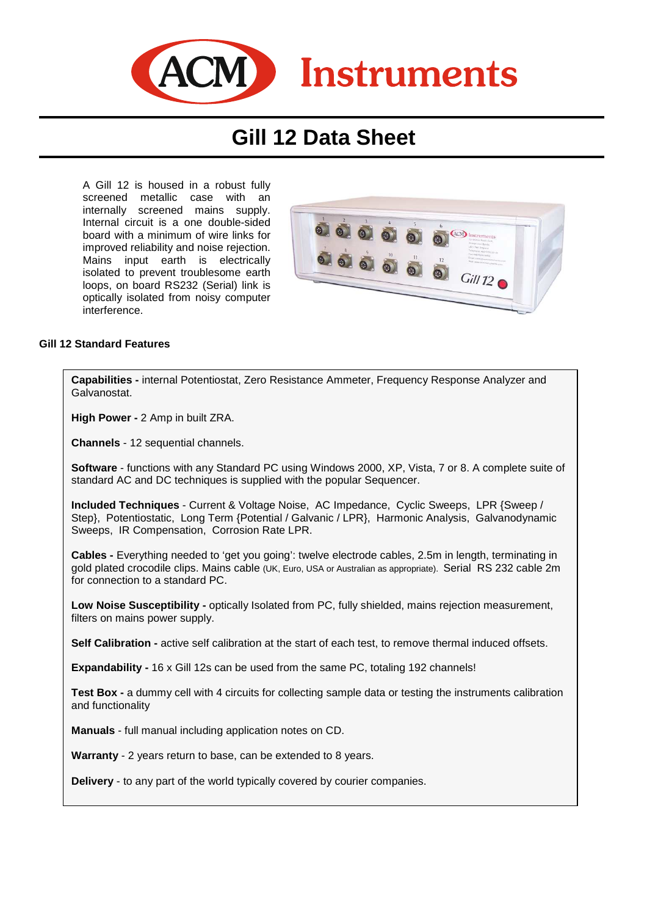

# **Gill 12 Data Sheet**

A Gill 12 is housed in a robust fully screened metallic case with an internally screened mains supply. Internal circuit is a one double-sided board with a minimum of wire links for improved reliability and noise rejection. Mains input earth is electrically isolated to prevent troublesome earth loops, on board RS232 (Serial) link is optically isolated from noisy computer interference.



#### **Gill 12 Standard Features**

**Capabilities -** internal Potentiostat, Zero Resistance Ammeter, Frequency Response Analyzer and Galvanostat.

**High Power -** 2 Amp in built ZRA.

**Channels** - 12 sequential channels.

**Software** - functions with any Standard PC using Windows 2000, XP, Vista, 7 or 8. A complete suite of standard AC and DC techniques is supplied with the popular Sequencer.

**Included Techniques** - Current & Voltage Noise, AC Impedance, Cyclic Sweeps, LPR {Sweep / Step}, Potentiostatic, Long Term {Potential / Galvanic / LPR}, Harmonic Analysis, Galvanodynamic Sweeps, IR Compensation, Corrosion Rate LPR.

**Cables -** Everything needed to 'get you going': twelve electrode cables, 2.5m in length, terminating in gold plated crocodile clips. Mains cable (UK, Euro, USA or Australian as appropriate). Serial RS 232 cable 2m for connection to a standard PC.

Low Noise Susceptibility - optically Isolated from PC, fully shielded, mains rejection measurement, filters on mains power supply.

**Self Calibration -** active self calibration at the start of each test, to remove thermal induced offsets.

**Expandability -** 16 x Gill 12s can be used from the same PC, totaling 192 channels!

**Test Box - a dummy cell with 4 circuits for collecting sample data or testing the instruments calibration** and functionality

**Manuals** - full manual including application notes on CD.

**Warranty** - 2 years return to base, can be extended to 8 years.

**Delivery** - to any part of the world typically covered by courier companies.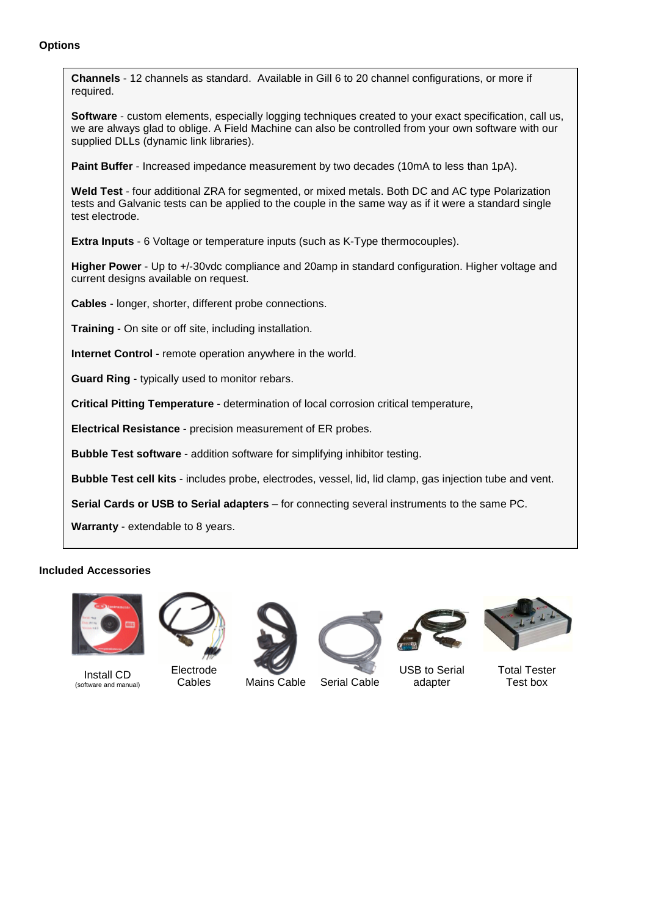## **Options**



### **Included Accessories**



Install CD (software and manual)



Electrode

Cables Mains Cable Serial Cable



USB to Serial adapter



Total Tester Test box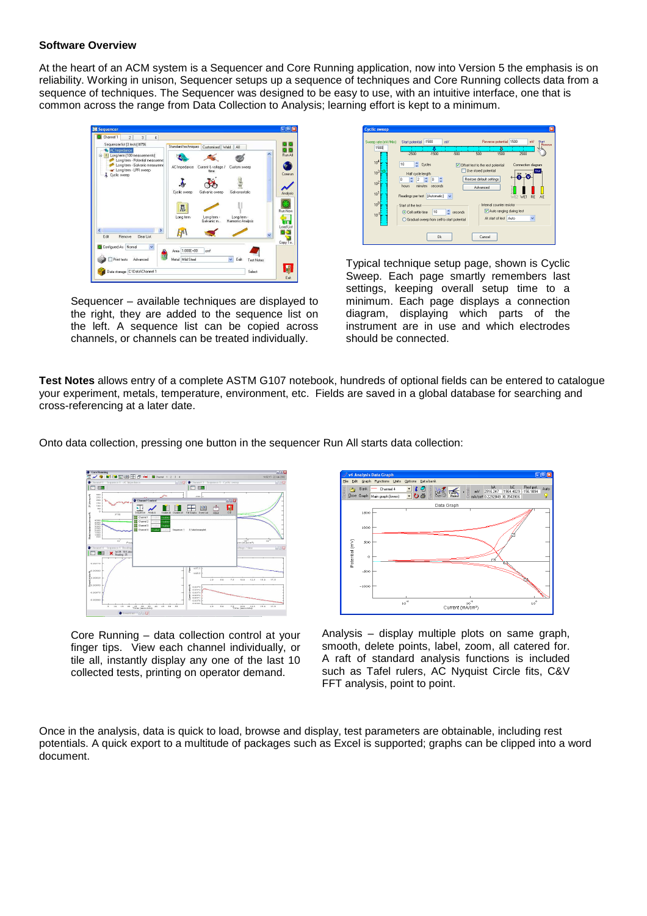#### **Software Overview**

At the heart of an ACM system is a Sequencer and Core Running application, now into Version 5 the emphasis is on reliability. Working in unison, Sequencer setups up a sequence of techniques and Core Running collects data from a sequence of techniques. The Sequencer was designed to be easy to use, with an intuitive interface, one that is common across the range from Data Collection to Analysis; learning effort is kept to a minimum.



Sequencer – available techniques are displayed to the right, they are added to the sequence list on the left. A sequence list can be copied across channels, or channels can be treated individually.



Typical technique setup page, shown is Cyclic Sweep. Each page smartly remembers last settings, keeping overall setup time to a minimum. Each page displays a connection diagram, displaying which parts of the instrument are in use and which electrodes should be connected.

**Test Notes** allows entry of a complete ASTM G107 notebook, hundreds of optional fields can be entered to catalogue your experiment, metals, temperature, environment, etc. Fields are saved in a global database for searching and cross-referencing at a later date.

Onto data collection, pressing one button in the sequencer Run All starts data collection:



Core Running – data collection control at your finger tips. View each channel individually, or tile all, instantly display any one of the last 10 collected tests, printing on operator demand.



Analysis – display multiple plots on same graph, smooth, delete points, label, zoom, all catered for. A raft of standard analysis functions is included such as Tafel rulers, AC Nyquist Circle fits, C&V FFT analysis, point to point.

Once in the analysis, data is quick to load, browse and display, test parameters are obtainable, including rest potentials. A quick export to a multitude of packages such as Excel is supported; graphs can be clipped into a word document.